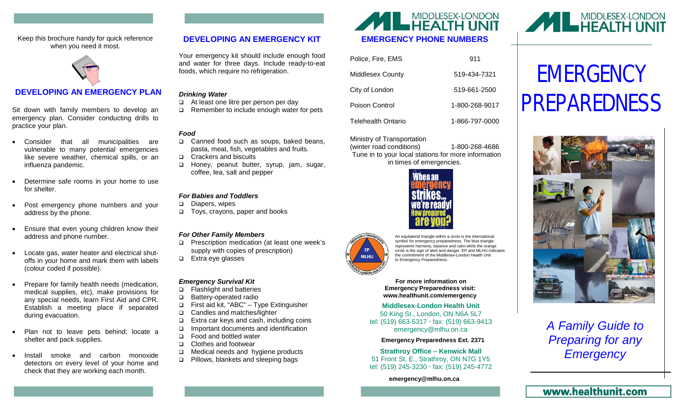Keep this brochure handy for quick reference when you need it most.



# **DEVELOPING AN EMERGENCY PLAN**

Sit down with family members to develop an emergency plan. Consider conducting drills to practice your plan.

- Consider that all municipalities are vulnerable to many potential emergencies like severe weather, chemical spills, or an influenza pandemic.
- Determine safe rooms in your home to use for shelter.
- Post emergency phone numbers and your address by the phone.
- Ensure that even young children know their address and phone number.
- Locate gas, water heater and electrical shutoffs in your home and mark them with labels (colour coded if possible).
- Prepare for family health needs (medication, medical supplies, etc), make provisions for any special needs, learn First Aid and CPR. Establish a meeting place if separated during evacuation.
- Plan not to leave pets behind; locate a shelter and pack supplies.
- Install smoke and carbon monoxide detectors on every level of your home and check that they are working each month.

## **DEVELOPING AN EMERGENCY KIT**

Your emergency kit should include enough food and water for three days. Include ready-to-eat foods, which require no refrigeration.

#### *Drinking Water*

- At least one litre per person per day
- $\Box$  Remember to include enough water for pets

#### *Food*

- □ Canned food such as soups, baked beans, pasta, meat, fish, vegetables and fruits.
- □ Crackers and biscuits
- Honey, peanut butter, syrup, jam, sugar, coffee, tea, salt and pepper

#### *For Babies and Toddlers*

- Diapers, wipes
- Toys, crayons, paper and books

#### *For Other Family Members*

- □ Prescription medication (at least one week's supply with copies of prescription)
- □ Extra eye glasses

#### *Emergency Survival Kit*

- Flashlight and batteries
- □ Battery-operated radio
- First aid kit, "ABC" Type Extinguisher
- □ Candles and matches/lighter
- Extra car keys and cash, including coins
- Important documents and identification
- □ Food and bottled water
- □ Clothes and footwear
- □ Medical needs and hygiene products
- □ Pillows, blankets and sleeping bags



| Police, Fire, EMS  | 911            |
|--------------------|----------------|
| Middlesex County   | 519-434-7321   |
| City of London     | 519-661-2500   |
| Poison Control     | 1-800-268-9017 |
| Telehealth Ontario | 1-866-797-0000 |

Ministry of Transportation

 Tune in to your local stations for more information in times of emergencies. (winter road conditions) 1-800-268-4686





An equilateral triangle within a circle is the international symbol for emergency preparedness. The blue triangle represents harmony, balance and calm while the orange circle is the sign of alert and danger. EP and MLHU indicates the commitment of the Middlesex-London Health Unit

**For more information on Emergency Preparedness visit: www.healthunit.com/emergency**

**Middlesex-London Health Unit** 50 King St., London, ON N6A 5L7 tel: (519) 663-5317 fax: (519) 663-9413 emergency@mlhu.on.ca

#### **Emergency Preparedness Ext. 2371**

**Strathroy Office – Kenwick Mall** 51 Front St. E., Strathroy, ON N7G 1Y5 tel: (519) 245-3230 fax: (519) 245-4772

**emergency@mlhu.on.ca**



# **EMERGENCY** PREPAREDNESS



*A Family Guide to Preparing for any Emergency*

**MLHU** 

to Emergency Preparedness.